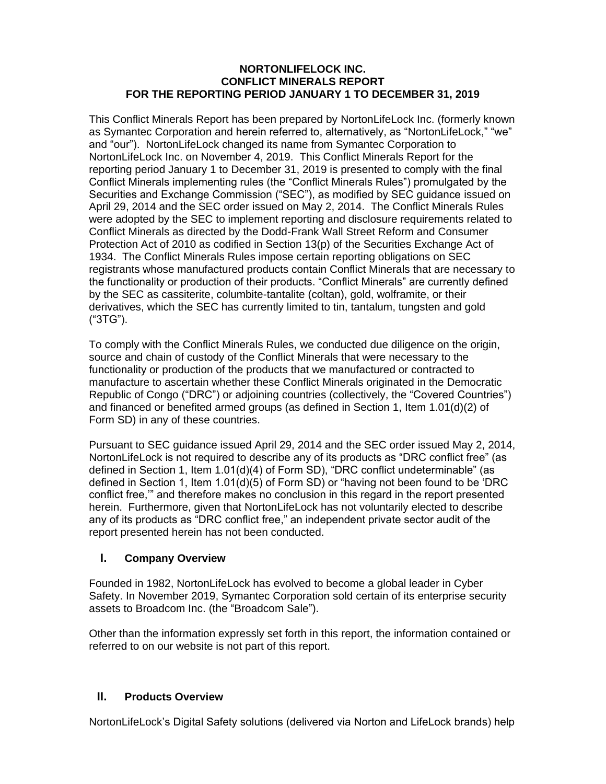#### **NORTONLIFELOCK INC. CONFLICT MINERALS REPORT FOR THE REPORTING PERIOD JANUARY 1 TO DECEMBER 31, 2019**

This Conflict Minerals Report has been prepared by NortonLifeLock Inc. (formerly known as Symantec Corporation and herein referred to, alternatively, as "NortonLifeLock," "we" and "our"). NortonLifeLock changed its name from Symantec Corporation to NortonLifeLock Inc. on November 4, 2019. This Conflict Minerals Report for the reporting period January 1 to December 31, 2019 is presented to comply with the final Conflict Minerals implementing rules (the "Conflict Minerals Rules") promulgated by the Securities and Exchange Commission ("SEC"), as modified by SEC guidance issued on April 29, 2014 and the SEC order issued on May 2, 2014. The Conflict Minerals Rules were adopted by the SEC to implement reporting and disclosure requirements related to Conflict Minerals as directed by the Dodd-Frank Wall Street Reform and Consumer Protection Act of 2010 as codified in Section 13(p) of the Securities Exchange Act of 1934. The Conflict Minerals Rules impose certain reporting obligations on SEC registrants whose manufactured products contain Conflict Minerals that are necessary to the functionality or production of their products. "Conflict Minerals" are currently defined by the SEC as cassiterite, columbite-tantalite (coltan), gold, wolframite, or their derivatives, which the SEC has currently limited to tin, tantalum, tungsten and gold ("3TG").

To comply with the Conflict Minerals Rules, we conducted due diligence on the origin, source and chain of custody of the Conflict Minerals that were necessary to the functionality or production of the products that we manufactured or contracted to manufacture to ascertain whether these Conflict Minerals originated in the Democratic Republic of Congo ("DRC") or adjoining countries (collectively, the "Covered Countries") and financed or benefited armed groups (as defined in Section 1, Item 1.01(d)(2) of Form SD) in any of these countries.

Pursuant to SEC guidance issued April 29, 2014 and the SEC order issued May 2, 2014, NortonLifeLock is not required to describe any of its products as "DRC conflict free" (as defined in Section 1, Item 1.01(d)(4) of Form SD), "DRC conflict undeterminable" (as defined in Section 1, Item 1.01(d)(5) of Form SD) or "having not been found to be 'DRC conflict free,'" and therefore makes no conclusion in this regard in the report presented herein. Furthermore, given that NortonLifeLock has not voluntarily elected to describe any of its products as "DRC conflict free," an independent private sector audit of the report presented herein has not been conducted.

## **I. Company Overview**

Founded in 1982, NortonLifeLock has evolved to become a global leader in Cyber Safety. In November 2019, Symantec Corporation sold certain of its enterprise security assets to Broadcom Inc. (the "Broadcom Sale").

Other than the information expressly set forth in this report, the information contained or referred to on our website is not part of this report.

## **II. Products Overview**

NortonLifeLock's Digital Safety solutions (delivered via Norton and LifeLock brands) help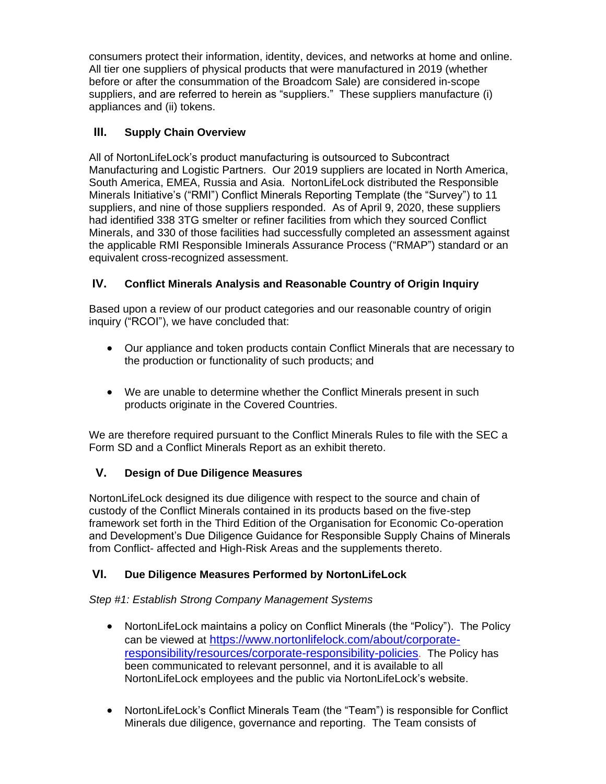consumers protect their information, identity, devices, and networks at home and online. All tier one suppliers of physical products that were manufactured in 2019 (whether before or after the consummation of the Broadcom Sale) are considered in-scope suppliers, and are referred to herein as "suppliers." These suppliers manufacture (i) appliances and (ii) tokens.

# **III. Supply Chain Overview**

All of NortonLifeLock's product manufacturing is outsourced to Subcontract Manufacturing and Logistic Partners. Our 2019 suppliers are located in North America, South America, EMEA, Russia and Asia. NortonLifeLock distributed the Responsible Minerals Initiative's ("RMI") Conflict Minerals Reporting Template (the "Survey") to 11 suppliers, and nine of those suppliers responded. As of April 9, 2020, these suppliers had identified 338 3TG smelter or refiner facilities from which they sourced Conflict Minerals, and 330 of those facilities had successfully completed an assessment against the applicable RMI Responsible Iminerals Assurance Process ("RMAP") standard or an equivalent cross-recognized assessment.

# **IV. Conflict Minerals Analysis and Reasonable Country of Origin Inquiry**

Based upon a review of our product categories and our reasonable country of origin inquiry ("RCOI"), we have concluded that:

- Our appliance and token products contain Conflict Minerals that are necessary to the production or functionality of such products; and
- We are unable to determine whether the Conflict Minerals present in such products originate in the Covered Countries.

We are therefore required pursuant to the Conflict Minerals Rules to file with the SEC a Form SD and a Conflict Minerals Report as an exhibit thereto.

## **V. Design of Due Diligence Measures**

NortonLifeLock designed its due diligence with respect to the source and chain of custody of the Conflict Minerals contained in its products based on the five-step framework set forth in the Third Edition of the Organisation for Economic Co-operation and Development's Due Diligence Guidance for Responsible Supply Chains of Minerals from Conflict- affected and High-Risk Areas and the supplements thereto.

## **VI. Due Diligence Measures Performed by NortonLifeLock**

*Step #1: Establish Strong Company Management Systems*

- NortonLifeLock maintains a policy on Conflict Minerals (the "Policy"). The Policy can be viewed at [https://www.nortonlifelock.com/about/corporate](https://www.nortonlifelock.com/about/corporate-responsibility/resources/corporate-responsibility-policies)[responsibility/resources/corporate-responsibility-policies](https://www.nortonlifelock.com/about/corporate-responsibility/resources/corporate-responsibility-policies). The Policy has been communicated to relevant personnel, and it is available to all NortonLifeLock employees and the public via NortonLifeLock's website.
- NortonLifeLock's Conflict Minerals Team (the "Team") is responsible for Conflict Minerals due diligence, governance and reporting. The Team consists of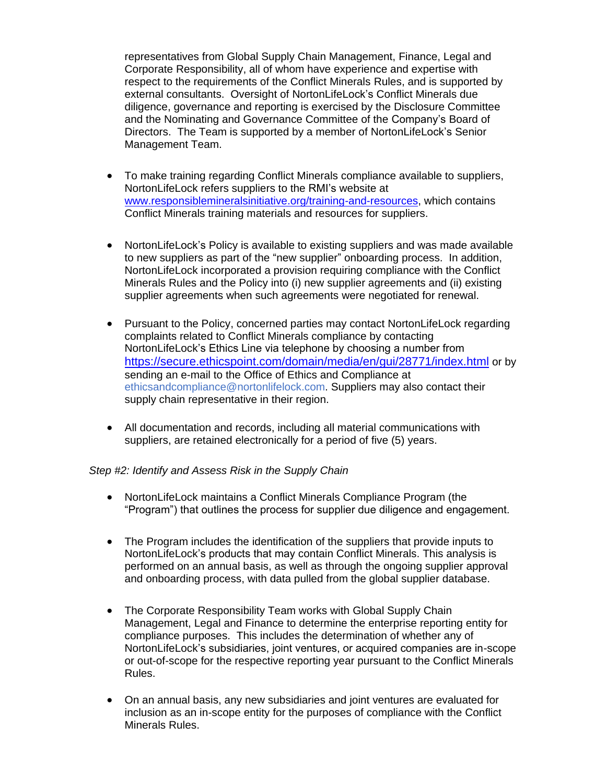representatives from Global Supply Chain Management, Finance, Legal and Corporate Responsibility, all of whom have experience and expertise with respect to the requirements of the Conflict Minerals Rules, and is supported by external consultants. Oversight of NortonLifeLock's Conflict Minerals due diligence, governance and reporting is exercised by the Disclosure Committee and the Nominating and Governance Committee of the Company's Board of Directors. The Team is supported by a member of NortonLifeLock's Senior Management Team.

- To make training regarding Conflict Minerals compliance available to suppliers, NortonLifeLock refers suppliers to the RMI's website at [www.responsiblemineralsinitiative.org/training-and-resources,](http://www.responsiblemineralsinitiative.org/training-and-resources) which contains Conflict Minerals training materials and resources for suppliers.
- NortonLifeLock's Policy is available to existing suppliers and was made available to new suppliers as part of the "new supplier" onboarding process. In addition, NortonLifeLock incorporated a provision requiring compliance with the Conflict Minerals Rules and the Policy into (i) new supplier agreements and (ii) existing supplier agreements when such agreements were negotiated for renewal.
- Pursuant to the Policy, concerned parties may contact NortonLifeLock regarding complaints related to Conflict Minerals compliance by contacting NortonLifeLock's Ethics Line via telephone by choosing a number from <https://secure.ethicspoint.com/domain/media/en/gui/28771/index.html> or by sending an e-mail to the Office of Ethics and Compliance at ethicsandcompliance@nortonlifelock.com. Suppliers may also contact their supply chain representative in their region.
- All documentation and records, including all material communications with suppliers, are retained electronically for a period of five (5) years.

### *Step #2: Identify and Assess Risk in the Supply Chain*

- NortonLifeLock maintains a Conflict Minerals Compliance Program (the "Program") that outlines the process for supplier due diligence and engagement.
- The Program includes the identification of the suppliers that provide inputs to NortonLifeLock's products that may contain Conflict Minerals. This analysis is performed on an annual basis, as well as through the ongoing supplier approval and onboarding process, with data pulled from the global supplier database.
- The Corporate Responsibility Team works with Global Supply Chain Management, Legal and Finance to determine the enterprise reporting entity for compliance purposes. This includes the determination of whether any of NortonLifeLock's subsidiaries, joint ventures, or acquired companies are in-scope or out-of-scope for the respective reporting year pursuant to the Conflict Minerals Rules.
- On an annual basis, any new subsidiaries and joint ventures are evaluated for inclusion as an in-scope entity for the purposes of compliance with the Conflict Minerals Rules.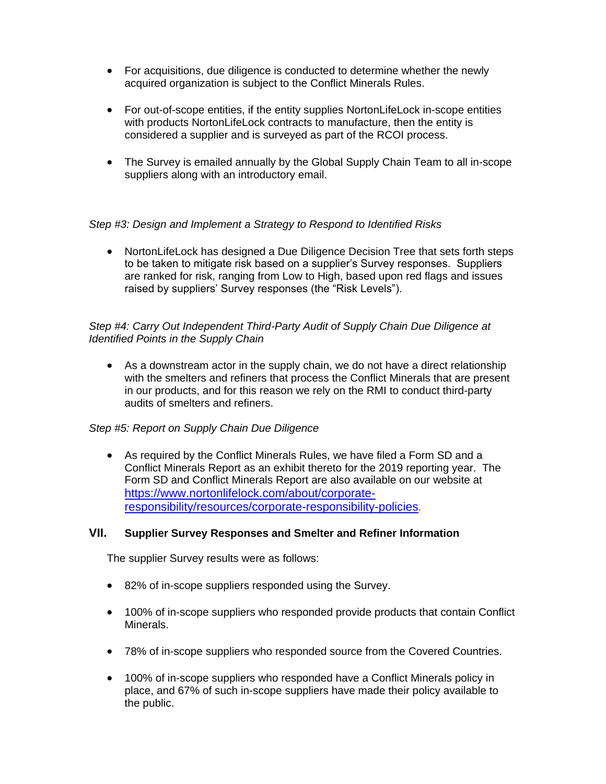- For acquisitions, due diligence is conducted to determine whether the newly acquired organization is subject to the Conflict Minerals Rules.
- For out-of-scope entities, if the entity supplies NortonLifeLock in-scope entities with products NortonLifeLock contracts to manufacture, then the entity is considered a supplier and is surveyed as part of the RCOI process.
- The Survey is emailed annually by the Global Supply Chain Team to all in-scope suppliers along with an introductory email.

### *Step #3: Design and Implement a Strategy to Respond to Identified Risks*

• NortonLifeLock has designed a Due Diligence Decision Tree that sets forth steps to be taken to mitigate risk based on a supplier's Survey responses. Suppliers are ranked for risk, ranging from Low to High, based upon red flags and issues raised by suppliers' Survey responses (the "Risk Levels").

### *Step #4: Carry Out Independent Third-Party Audit of Supply Chain Due Diligence at Identified Points in the Supply Chain*

• As a downstream actor in the supply chain, we do not have a direct relationship with the smelters and refiners that process the Conflict Minerals that are present in our products, and for this reason we rely on the RMI to conduct third-party audits of smelters and refiners.

### *Step #5: Report on Supply Chain Due Diligence*

• As required by the Conflict Minerals Rules, we have filed a Form SD and a Conflict Minerals Report as an exhibit thereto for the 2019 reporting year. The Form SD and Conflict Minerals Report are also available on our website at [https://www.nortonlifelock.com/about/corporate](https://www.nortonlifelock.com/about/corporate-responsibility/resources/corporate-responsibility-policies)[responsibility/resources/corporate-responsibility-policies](https://www.nortonlifelock.com/about/corporate-responsibility/resources/corporate-responsibility-policies).

### **VII. Supplier Survey Responses and Smelter and Refiner Information**

The supplier Survey results were as follows:

- 82% of in-scope suppliers responded using the Survey.
- 100% of in-scope suppliers who responded provide products that contain Conflict Minerals.
- 78% of in-scope suppliers who responded source from the Covered Countries.
- 100% of in-scope suppliers who responded have a Conflict Minerals policy in place, and 67% of such in-scope suppliers have made their policy available to the public.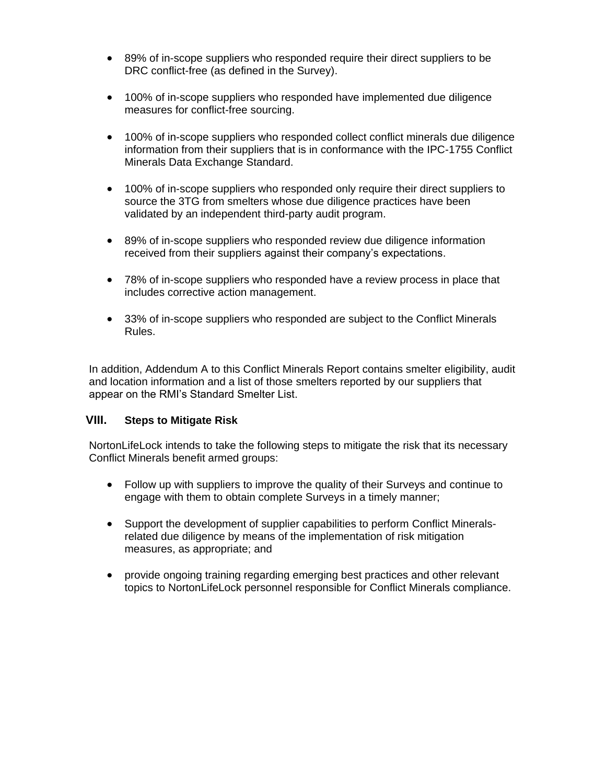- 89% of in-scope suppliers who responded require their direct suppliers to be DRC conflict-free (as defined in the Survey).
- 100% of in-scope suppliers who responded have implemented due diligence measures for conflict-free sourcing.
- 100% of in-scope suppliers who responded collect conflict minerals due diligence information from their suppliers that is in conformance with the IPC-1755 Conflict Minerals Data Exchange Standard.
- 100% of in-scope suppliers who responded only require their direct suppliers to source the 3TG from smelters whose due diligence practices have been validated by an independent third-party audit program.
- 89% of in-scope suppliers who responded review due diligence information received from their suppliers against their company's expectations.
- 78% of in-scope suppliers who responded have a review process in place that includes corrective action management.
- 33% of in-scope suppliers who responded are subject to the Conflict Minerals Rules.

In addition, Addendum A to this Conflict Minerals Report contains smelter eligibility, audit and location information and a list of those smelters reported by our suppliers that appear on the RMI's Standard Smelter List.

### **VIII. Steps to Mitigate Risk**

NortonLifeLock intends to take the following steps to mitigate the risk that its necessary Conflict Minerals benefit armed groups:

- Follow up with suppliers to improve the quality of their Surveys and continue to engage with them to obtain complete Surveys in a timely manner;
- Support the development of supplier capabilities to perform Conflict Mineralsrelated due diligence by means of the implementation of risk mitigation measures, as appropriate; and
- provide ongoing training regarding emerging best practices and other relevant topics to NortonLifeLock personnel responsible for Conflict Minerals compliance.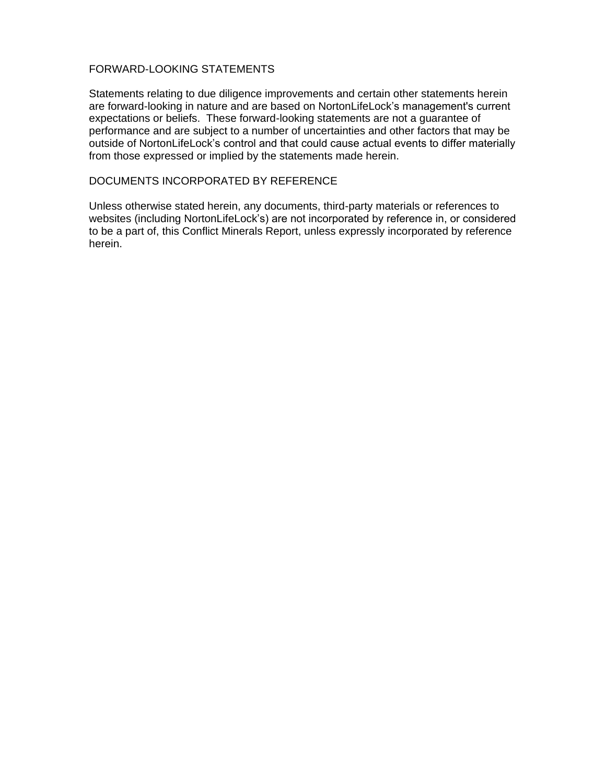#### FORWARD-LOOKING STATEMENTS

Statements relating to due diligence improvements and certain other statements herein are forward-looking in nature and are based on NortonLifeLock's management's current expectations or beliefs. These forward-looking statements are not a guarantee of performance and are subject to a number of uncertainties and other factors that may be outside of NortonLifeLock's control and that could cause actual events to differ materially from those expressed or implied by the statements made herein.

#### DOCUMENTS INCORPORATED BY REFERENCE

Unless otherwise stated herein, any documents, third-party materials or references to websites (including NortonLifeLock's) are not incorporated by reference in, or considered to be a part of, this Conflict Minerals Report, unless expressly incorporated by reference herein.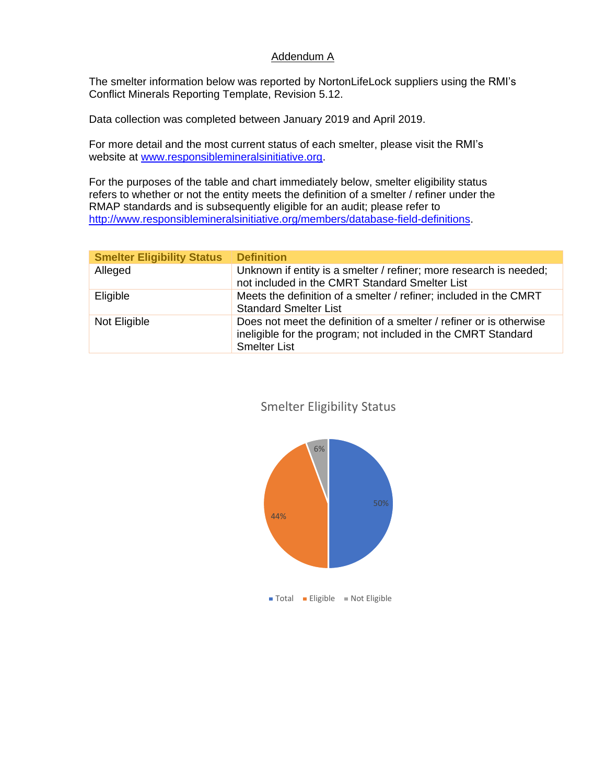### Addendum A

The smelter information below was reported by NortonLifeLock suppliers using the RMI's Conflict Minerals Reporting Template, Revision 5.12.

Data collection was completed between January 2019 and April 2019.

For more detail and the most current status of each smelter, please visit the RMI's website at [www.responsiblemineralsinitiative.org.](http://www.responsiblemineralsinitiative.org/)

For the purposes of the table and chart immediately below, smelter eligibility status refers to whether or not the entity meets the definition of a smelter / refiner under the RMAP standards and is subsequently eligible for an audit; please refer to [http://www.responsiblemineralsinitiative.org/members/database-field-definitions.](https://clicktime.symantec.com/3Thwonqhx7WPoLYKtjMG3TJ7Vc?u=http%3A%2F%2Fwww.responsiblemineralsinitiative.org%2Fmembers%2Fdatabase-field-definitions)

| <b>Smelter Eligibility Status   Definition</b> |                                                                                                                                                             |
|------------------------------------------------|-------------------------------------------------------------------------------------------------------------------------------------------------------------|
| Alleged                                        | Unknown if entity is a smelter / refiner; more research is needed;<br>not included in the CMRT Standard Smelter List                                        |
| Eligible                                       | Meets the definition of a smelter / refiner; included in the CMRT<br><b>Standard Smelter List</b>                                                           |
| Not Eligible                                   | Does not meet the definition of a smelter / refiner or is otherwise<br>ineligible for the program; not included in the CMRT Standard<br><b>Smelter List</b> |

# Smelter Eligibility Status

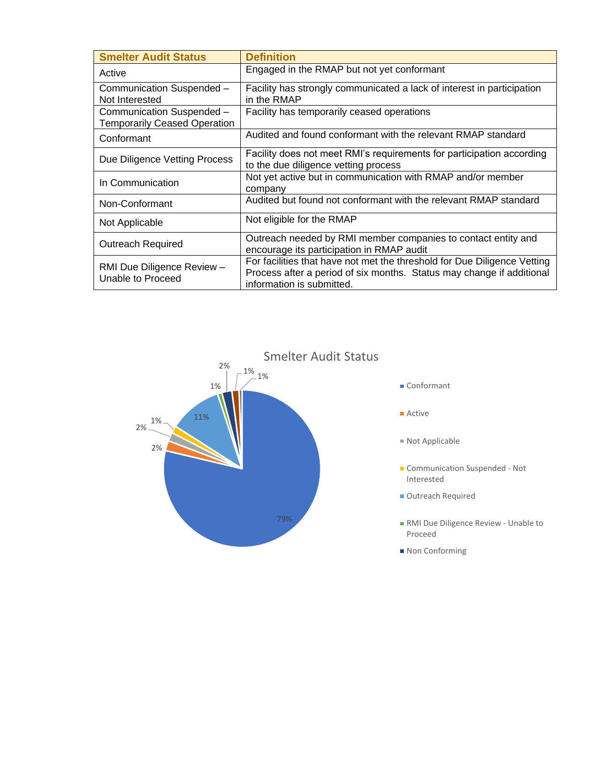| <b>Smelter Audit Status</b>                                      | <b>Definition</b>                                                                                                                                                              |
|------------------------------------------------------------------|--------------------------------------------------------------------------------------------------------------------------------------------------------------------------------|
| Active                                                           | Engaged in the RMAP but not yet conformant                                                                                                                                     |
| Communication Suspended -<br>Not Interested                      | Facility has strongly communicated a lack of interest in participation<br>in the RMAP                                                                                          |
| Communication Suspended -<br><b>Temporarily Ceased Operation</b> | Facility has temporarily ceased operations                                                                                                                                     |
| Conformant                                                       | Audited and found conformant with the relevant RMAP standard                                                                                                                   |
| Due Diligence Vetting Process                                    | Facility does not meet RMI's requirements for participation according<br>to the due diligence vetting process                                                                  |
| In Communication                                                 | Not yet active but in communication with RMAP and/or member<br>company                                                                                                         |
| Non-Conformant                                                   | Audited but found not conformant with the relevant RMAP standard                                                                                                               |
| Not Applicable                                                   | Not eligible for the RMAP                                                                                                                                                      |
| <b>Outreach Required</b>                                         | Outreach needed by RMI member companies to contact entity and<br>encourage its participation in RMAP audit                                                                     |
| RMI Due Diligence Review -<br>Unable to Proceed                  | For facilities that have not met the threshold for Due Diligence Vetting<br>Process after a period of six months. Status may change if additional<br>information is submitted. |

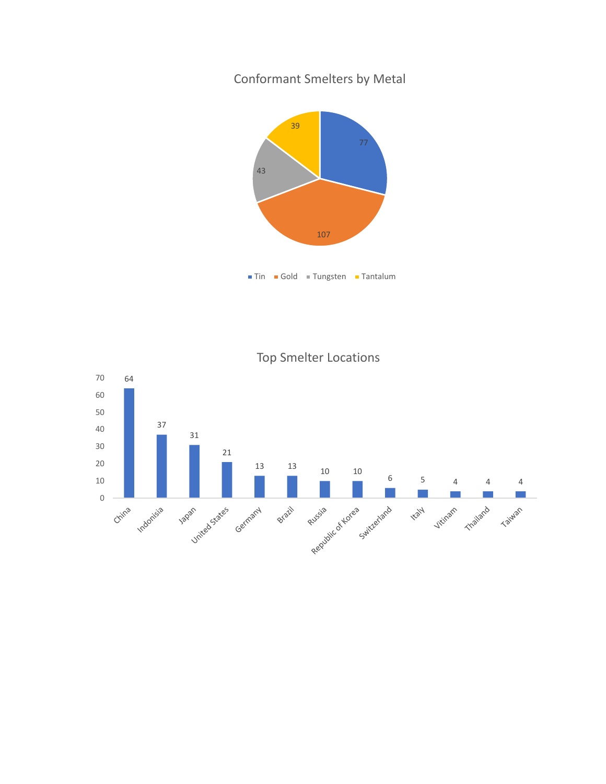Conformant Smelters by Metal





Top Smelter Locations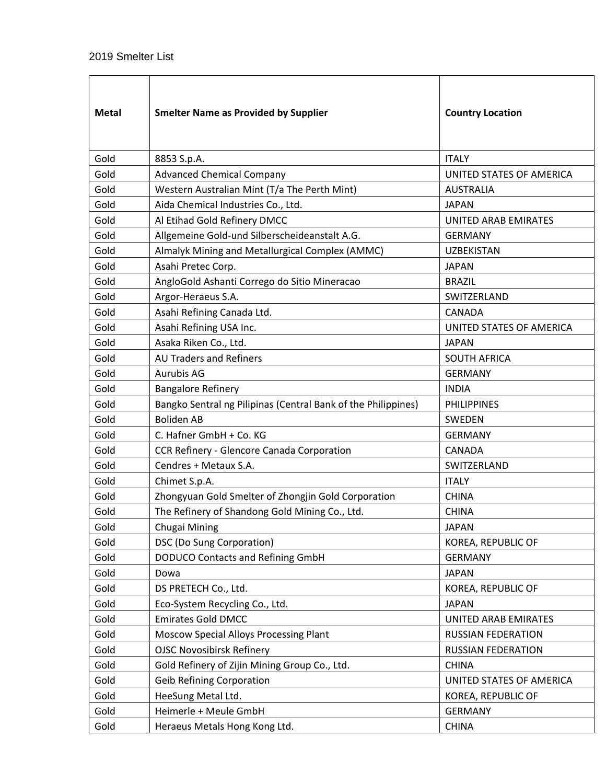| <b>Metal</b> | <b>Smelter Name as Provided by Supplier</b>                   | <b>Country Location</b>   |
|--------------|---------------------------------------------------------------|---------------------------|
| Gold         | 8853 S.p.A.                                                   | <b>ITALY</b>              |
| Gold         | <b>Advanced Chemical Company</b>                              | UNITED STATES OF AMERICA  |
| Gold         | Western Australian Mint (T/a The Perth Mint)                  | <b>AUSTRALIA</b>          |
| Gold         | Aida Chemical Industries Co., Ltd.                            | <b>JAPAN</b>              |
| Gold         | Al Etihad Gold Refinery DMCC                                  | UNITED ARAB EMIRATES      |
| Gold         | Allgemeine Gold-und Silberscheideanstalt A.G.                 | <b>GERMANY</b>            |
| Gold         | Almalyk Mining and Metallurgical Complex (AMMC)               | <b>UZBEKISTAN</b>         |
| Gold         | Asahi Pretec Corp.                                            | <b>JAPAN</b>              |
| Gold         | AngloGold Ashanti Corrego do Sitio Mineracao                  | <b>BRAZIL</b>             |
| Gold         | Argor-Heraeus S.A.                                            | SWITZERLAND               |
| Gold         | Asahi Refining Canada Ltd.                                    | CANADA                    |
| Gold         | Asahi Refining USA Inc.                                       | UNITED STATES OF AMERICA  |
| Gold         | Asaka Riken Co., Ltd.                                         | <b>JAPAN</b>              |
| Gold         | <b>AU Traders and Refiners</b>                                | <b>SOUTH AFRICA</b>       |
| Gold         | <b>Aurubis AG</b>                                             | <b>GERMANY</b>            |
| Gold         | <b>Bangalore Refinery</b>                                     | <b>INDIA</b>              |
| Gold         | Bangko Sentral ng Pilipinas (Central Bank of the Philippines) | <b>PHILIPPINES</b>        |
| Gold         | <b>Boliden AB</b>                                             | SWEDEN                    |
| Gold         | C. Hafner GmbH + Co. KG                                       | <b>GERMANY</b>            |
| Gold         | CCR Refinery - Glencore Canada Corporation                    | <b>CANADA</b>             |
| Gold         | Cendres + Metaux S.A.                                         | SWITZERLAND               |
| Gold         | Chimet S.p.A.                                                 | <b>ITALY</b>              |
| Gold         | Zhongyuan Gold Smelter of Zhongjin Gold Corporation           | <b>CHINA</b>              |
| Gold         | The Refinery of Shandong Gold Mining Co., Ltd.                | <b>CHINA</b>              |
| Gold         | Chugai Mining                                                 | <b>JAPAN</b>              |
| Gold         | DSC (Do Sung Corporation)                                     | KOREA, REPUBLIC OF        |
| Gold         | <b>DODUCO Contacts and Refining GmbH</b>                      | <b>GERMANY</b>            |
| Gold         | Dowa                                                          | <b>JAPAN</b>              |
| Gold         | DS PRETECH Co., Ltd.                                          | KOREA, REPUBLIC OF        |
| Gold         | Eco-System Recycling Co., Ltd.                                | <b>JAPAN</b>              |
| Gold         | <b>Emirates Gold DMCC</b>                                     | UNITED ARAB EMIRATES      |
| Gold         | Moscow Special Alloys Processing Plant                        | RUSSIAN FEDERATION        |
| Gold         | <b>OJSC Novosibirsk Refinery</b>                              | <b>RUSSIAN FEDERATION</b> |
| Gold         | Gold Refinery of Zijin Mining Group Co., Ltd.                 | <b>CHINA</b>              |
| Gold         | <b>Geib Refining Corporation</b>                              | UNITED STATES OF AMERICA  |
| Gold         | HeeSung Metal Ltd.                                            | KOREA, REPUBLIC OF        |
| Gold         | Heimerle + Meule GmbH                                         | <b>GERMANY</b>            |
| Gold         | Heraeus Metals Hong Kong Ltd.                                 | <b>CHINA</b>              |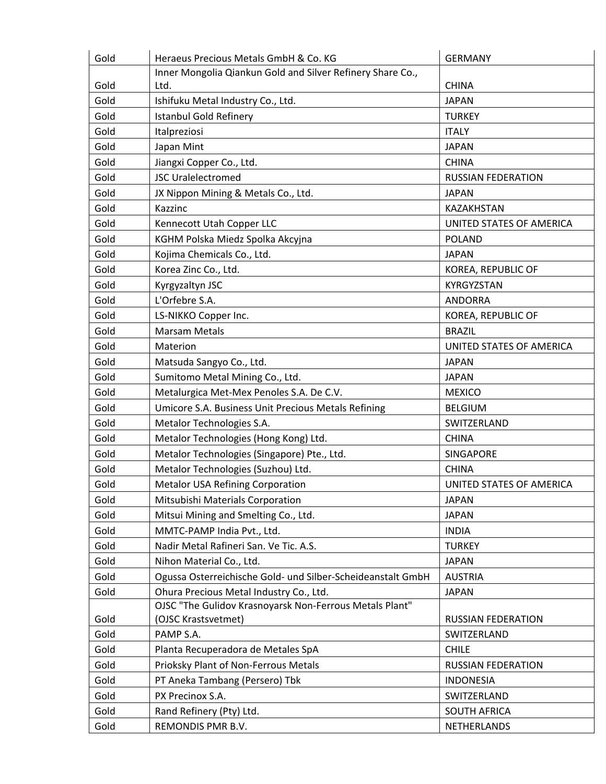| Gold | Heraeus Precious Metals GmbH & Co. KG                       | <b>GERMANY</b>            |
|------|-------------------------------------------------------------|---------------------------|
|      | Inner Mongolia Qiankun Gold and Silver Refinery Share Co.,  |                           |
| Gold | Ltd.                                                        | <b>CHINA</b>              |
| Gold | Ishifuku Metal Industry Co., Ltd.                           | <b>JAPAN</b>              |
| Gold | <b>Istanbul Gold Refinery</b>                               | <b>TURKEY</b>             |
| Gold | Italpreziosi                                                | <b>ITALY</b>              |
| Gold | Japan Mint                                                  | <b>JAPAN</b>              |
| Gold | Jiangxi Copper Co., Ltd.                                    | <b>CHINA</b>              |
| Gold | <b>JSC Uralelectromed</b>                                   | <b>RUSSIAN FEDERATION</b> |
| Gold | JX Nippon Mining & Metals Co., Ltd.                         | <b>JAPAN</b>              |
| Gold | Kazzinc                                                     | KAZAKHSTAN                |
| Gold | Kennecott Utah Copper LLC                                   | UNITED STATES OF AMERICA  |
| Gold | KGHM Polska Miedz Spolka Akcyjna                            | <b>POLAND</b>             |
| Gold | Kojima Chemicals Co., Ltd.                                  | <b>JAPAN</b>              |
| Gold | Korea Zinc Co., Ltd.                                        | KOREA, REPUBLIC OF        |
| Gold | Kyrgyzaltyn JSC                                             | KYRGYZSTAN                |
| Gold | L'Orfebre S.A.                                              | <b>ANDORRA</b>            |
| Gold | LS-NIKKO Copper Inc.                                        | KOREA, REPUBLIC OF        |
| Gold | <b>Marsam Metals</b>                                        | <b>BRAZIL</b>             |
| Gold | Materion                                                    | UNITED STATES OF AMERICA  |
| Gold | Matsuda Sangyo Co., Ltd.                                    | <b>JAPAN</b>              |
| Gold | Sumitomo Metal Mining Co., Ltd.                             | <b>JAPAN</b>              |
| Gold | Metalurgica Met-Mex Penoles S.A. De C.V.                    | <b>MEXICO</b>             |
| Gold | Umicore S.A. Business Unit Precious Metals Refining         | <b>BELGIUM</b>            |
| Gold | Metalor Technologies S.A.                                   | SWITZERLAND               |
| Gold | Metalor Technologies (Hong Kong) Ltd.                       | <b>CHINA</b>              |
| Gold | Metalor Technologies (Singapore) Pte., Ltd.                 | SINGAPORE                 |
| Gold | Metalor Technologies (Suzhou) Ltd.                          | <b>CHINA</b>              |
| Gold | <b>Metalor USA Refining Corporation</b>                     | UNITED STATES OF AMERICA  |
| Gold | Mitsubishi Materials Corporation                            | <b>JAPAN</b>              |
| Gold | Mitsui Mining and Smelting Co., Ltd.                        | <b>JAPAN</b>              |
| Gold | MMTC-PAMP India Pvt., Ltd.                                  | <b>INDIA</b>              |
| Gold | Nadir Metal Rafineri San. Ve Tic. A.S.                      | <b>TURKEY</b>             |
| Gold | Nihon Material Co., Ltd.                                    | <b>JAPAN</b>              |
| Gold | Ogussa Osterreichische Gold- und Silber-Scheideanstalt GmbH | <b>AUSTRIA</b>            |
| Gold | Ohura Precious Metal Industry Co., Ltd.                     | <b>JAPAN</b>              |
|      | OJSC "The Gulidov Krasnoyarsk Non-Ferrous Metals Plant"     |                           |
| Gold | (OJSC Krastsvetmet)                                         | RUSSIAN FEDERATION        |
| Gold | PAMP S.A.                                                   | SWITZERLAND               |
| Gold | Planta Recuperadora de Metales SpA                          | <b>CHILE</b>              |
| Gold | Prioksky Plant of Non-Ferrous Metals                        | RUSSIAN FEDERATION        |
| Gold | PT Aneka Tambang (Persero) Tbk                              | <b>INDONESIA</b>          |
| Gold | PX Precinox S.A.                                            | SWITZERLAND               |
| Gold | Rand Refinery (Pty) Ltd.                                    | <b>SOUTH AFRICA</b>       |
| Gold | REMONDIS PMR B.V.                                           | NETHERLANDS               |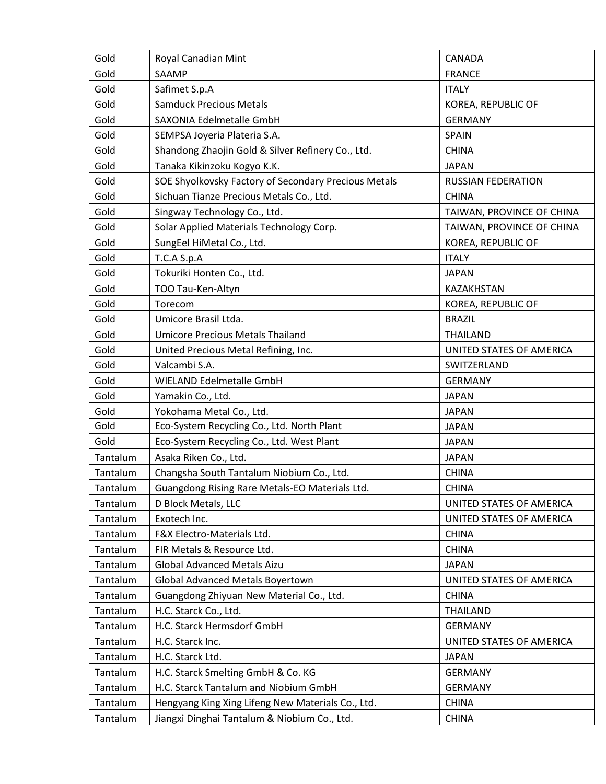| Gold     | Royal Canadian Mint                                  | CANADA                    |
|----------|------------------------------------------------------|---------------------------|
| Gold     | SAAMP                                                | <b>FRANCE</b>             |
| Gold     | Safimet S.p.A                                        | <b>ITALY</b>              |
| Gold     | <b>Samduck Precious Metals</b>                       | KOREA, REPUBLIC OF        |
| Gold     | SAXONIA Edelmetalle GmbH                             | <b>GERMANY</b>            |
| Gold     | SEMPSA Joyeria Plateria S.A.                         | <b>SPAIN</b>              |
| Gold     | Shandong Zhaojin Gold & Silver Refinery Co., Ltd.    | <b>CHINA</b>              |
| Gold     | Tanaka Kikinzoku Kogyo K.K.                          | <b>JAPAN</b>              |
| Gold     | SOE Shyolkovsky Factory of Secondary Precious Metals | <b>RUSSIAN FEDERATION</b> |
| Gold     | Sichuan Tianze Precious Metals Co., Ltd.             | <b>CHINA</b>              |
| Gold     | Singway Technology Co., Ltd.                         | TAIWAN, PROVINCE OF CHINA |
| Gold     | Solar Applied Materials Technology Corp.             | TAIWAN, PROVINCE OF CHINA |
| Gold     | SungEel HiMetal Co., Ltd.                            | KOREA, REPUBLIC OF        |
| Gold     | T.C.A S.p.A                                          | <b>ITALY</b>              |
| Gold     | Tokuriki Honten Co., Ltd.                            | <b>JAPAN</b>              |
| Gold     | TOO Tau-Ken-Altyn                                    | KAZAKHSTAN                |
| Gold     | Torecom                                              | KOREA, REPUBLIC OF        |
| Gold     | Umicore Brasil Ltda.                                 | <b>BRAZIL</b>             |
| Gold     | <b>Umicore Precious Metals Thailand</b>              | <b>THAILAND</b>           |
| Gold     | United Precious Metal Refining, Inc.                 | UNITED STATES OF AMERICA  |
| Gold     | Valcambi S.A.                                        | SWITZERLAND               |
| Gold     | WIELAND Edelmetalle GmbH                             | <b>GERMANY</b>            |
| Gold     | Yamakin Co., Ltd.                                    | <b>JAPAN</b>              |
| Gold     | Yokohama Metal Co., Ltd.                             | <b>JAPAN</b>              |
| Gold     | Eco-System Recycling Co., Ltd. North Plant           | <b>JAPAN</b>              |
| Gold     | Eco-System Recycling Co., Ltd. West Plant            | <b>JAPAN</b>              |
| Tantalum | Asaka Riken Co., Ltd.                                | <b>JAPAN</b>              |
| Tantalum | Changsha South Tantalum Niobium Co., Ltd.            | <b>CHINA</b>              |
| Tantalum | Guangdong Rising Rare Metals-EO Materials Ltd.       | <b>CHINA</b>              |
| Tantalum | D Block Metals, LLC                                  | UNITED STATES OF AMERICA  |
| Tantalum | Exotech Inc.                                         | UNITED STATES OF AMERICA  |
| Tantalum | F&X Electro-Materials Ltd.                           | <b>CHINA</b>              |
| Tantalum | FIR Metals & Resource Ltd.                           | <b>CHINA</b>              |
| Tantalum | Global Advanced Metals Aizu                          | <b>JAPAN</b>              |
| Tantalum | <b>Global Advanced Metals Boyertown</b>              | UNITED STATES OF AMERICA  |
| Tantalum | Guangdong Zhiyuan New Material Co., Ltd.             | <b>CHINA</b>              |
| Tantalum | H.C. Starck Co., Ltd.                                | <b>THAILAND</b>           |
| Tantalum | H.C. Starck Hermsdorf GmbH                           | <b>GERMANY</b>            |
| Tantalum | H.C. Starck Inc.                                     | UNITED STATES OF AMERICA  |
| Tantalum | H.C. Starck Ltd.                                     | <b>JAPAN</b>              |
| Tantalum | H.C. Starck Smelting GmbH & Co. KG                   | <b>GERMANY</b>            |
| Tantalum | H.C. Starck Tantalum and Niobium GmbH                | <b>GERMANY</b>            |
| Tantalum | Hengyang King Xing Lifeng New Materials Co., Ltd.    | <b>CHINA</b>              |
| Tantalum | Jiangxi Dinghai Tantalum & Niobium Co., Ltd.         | <b>CHINA</b>              |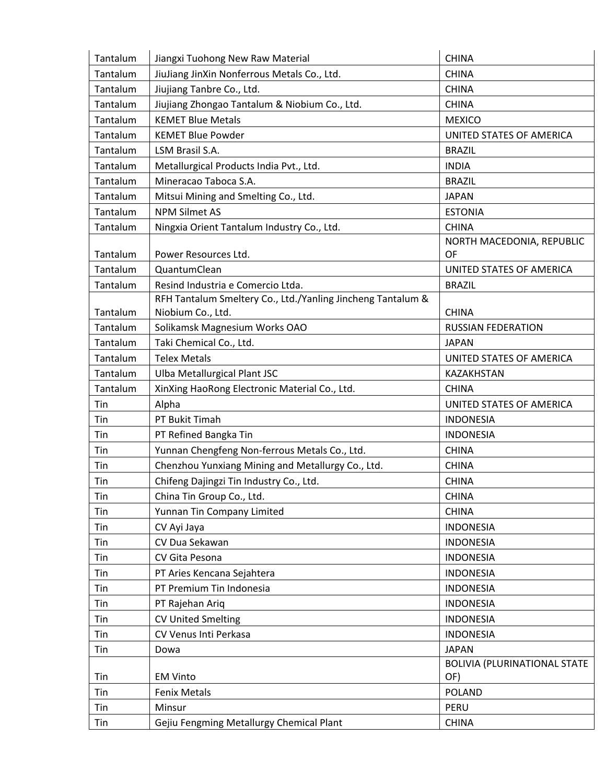| Tantalum             | Jiangxi Tuohong New Raw Material                                                                   | <b>CHINA</b>                                        |
|----------------------|----------------------------------------------------------------------------------------------------|-----------------------------------------------------|
| Tantalum             | JiuJiang JinXin Nonferrous Metals Co., Ltd.                                                        | <b>CHINA</b>                                        |
| Tantalum             | Jiujiang Tanbre Co., Ltd.                                                                          | <b>CHINA</b>                                        |
| Tantalum             | Jiujiang Zhongao Tantalum & Niobium Co., Ltd.                                                      | <b>CHINA</b>                                        |
| Tantalum             | <b>KEMET Blue Metals</b>                                                                           | <b>MEXICO</b>                                       |
| Tantalum             | <b>KEMET Blue Powder</b>                                                                           | UNITED STATES OF AMERICA                            |
| Tantalum             | LSM Brasil S.A.                                                                                    | <b>BRAZIL</b>                                       |
| Tantalum             | Metallurgical Products India Pvt., Ltd.                                                            | <b>INDIA</b>                                        |
| Tantalum             | Mineracao Taboca S.A.                                                                              | <b>BRAZIL</b>                                       |
| Tantalum             | Mitsui Mining and Smelting Co., Ltd.                                                               | <b>JAPAN</b>                                        |
| Tantalum             | <b>NPM Silmet AS</b>                                                                               | <b>ESTONIA</b>                                      |
| Tantalum             | Ningxia Orient Tantalum Industry Co., Ltd.                                                         | <b>CHINA</b>                                        |
|                      |                                                                                                    | NORTH MACEDONIA, REPUBLIC                           |
| Tantalum             | Power Resources Ltd.                                                                               | OF                                                  |
| Tantalum             | QuantumClean                                                                                       | UNITED STATES OF AMERICA                            |
| Tantalum             | Resind Industria e Comercio Ltda.                                                                  | <b>BRAZIL</b>                                       |
| Tantalum             | RFH Tantalum Smeltery Co., Ltd./Yanling Jincheng Tantalum &                                        | <b>CHINA</b>                                        |
| Tantalum             | Niobium Co., Ltd.                                                                                  |                                                     |
|                      | Solikamsk Magnesium Works OAO                                                                      | <b>RUSSIAN FEDERATION</b>                           |
| Tantalum<br>Tantalum | Taki Chemical Co., Ltd.<br><b>Telex Metals</b>                                                     | <b>JAPAN</b><br>UNITED STATES OF AMERICA            |
|                      |                                                                                                    |                                                     |
| Tantalum<br>Tantalum | Ulba Metallurgical Plant JSC                                                                       | KAZAKHSTAN<br><b>CHINA</b>                          |
| Tin                  | XinXing HaoRong Electronic Material Co., Ltd.                                                      | UNITED STATES OF AMERICA                            |
| Tin                  | Alpha<br>PT Bukit Timah                                                                            | <b>INDONESIA</b>                                    |
| Tin                  | PT Refined Bangka Tin                                                                              | <b>INDONESIA</b>                                    |
|                      |                                                                                                    |                                                     |
| Tin<br>Tin           | Yunnan Chengfeng Non-ferrous Metals Co., Ltd.<br>Chenzhou Yunxiang Mining and Metallurgy Co., Ltd. | <b>CHINA</b><br><b>CHINA</b>                        |
|                      |                                                                                                    | <b>CHINA</b>                                        |
| Tin<br>Tin           | Chifeng Dajingzi Tin Industry Co., Ltd.                                                            |                                                     |
|                      | China Tin Group Co., Ltd.                                                                          | <b>CHINA</b>                                        |
| Tin                  | Yunnan Tin Company Limited                                                                         | <b>CHINA</b>                                        |
| Tin                  | CV Ayi Jaya                                                                                        | <b>INDONESIA</b>                                    |
| Tin                  | CV Dua Sekawan                                                                                     | <b>INDONESIA</b>                                    |
| Tin                  | CV Gita Pesona                                                                                     | <b>INDONESIA</b>                                    |
| Tin                  | PT Aries Kencana Sejahtera<br>PT Premium Tin Indonesia                                             | <b>INDONESIA</b>                                    |
| Tin                  |                                                                                                    | <b>INDONESIA</b>                                    |
| Tin                  | PT Rajehan Ariq                                                                                    | <b>INDONESIA</b>                                    |
| Tin                  | <b>CV United Smelting</b>                                                                          | <b>INDONESIA</b>                                    |
| Tin                  | CV Venus Inti Perkasa                                                                              | <b>INDONESIA</b>                                    |
| Tin                  | Dowa                                                                                               | <b>JAPAN</b><br><b>BOLIVIA (PLURINATIONAL STATE</b> |
| Tin                  | <b>EM Vinto</b>                                                                                    | OF)                                                 |
| Tin                  | <b>Fenix Metals</b>                                                                                | <b>POLAND</b>                                       |
| Tin                  | Minsur                                                                                             | <b>PERU</b>                                         |
| Tin                  | Gejiu Fengming Metallurgy Chemical Plant                                                           | <b>CHINA</b>                                        |
|                      |                                                                                                    |                                                     |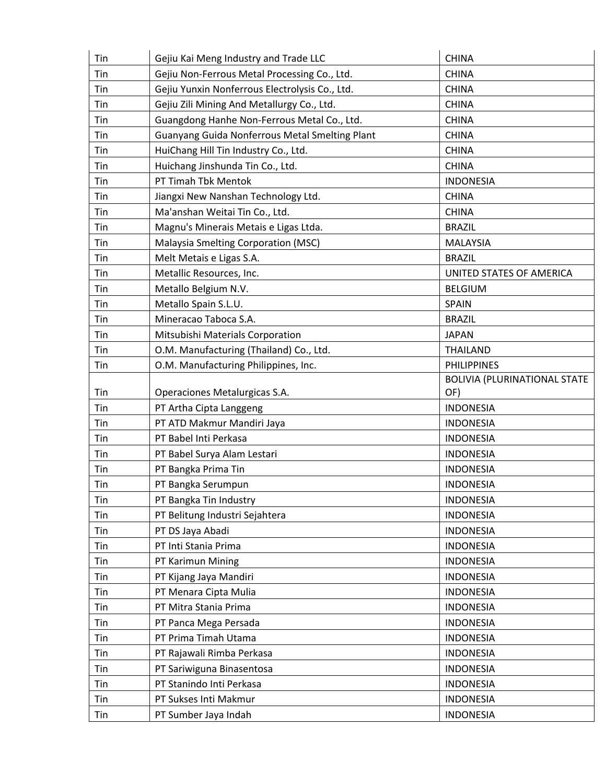| Tin | Gejiu Kai Meng Industry and Trade LLC          | <b>CHINA</b>                 |
|-----|------------------------------------------------|------------------------------|
| Tin | Gejiu Non-Ferrous Metal Processing Co., Ltd.   | <b>CHINA</b>                 |
| Tin | Gejiu Yunxin Nonferrous Electrolysis Co., Ltd. | <b>CHINA</b>                 |
| Tin | Gejiu Zili Mining And Metallurgy Co., Ltd.     | <b>CHINA</b>                 |
| Tin | Guangdong Hanhe Non-Ferrous Metal Co., Ltd.    | <b>CHINA</b>                 |
| Tin | Guanyang Guida Nonferrous Metal Smelting Plant | <b>CHINA</b>                 |
| Tin | HuiChang Hill Tin Industry Co., Ltd.           | <b>CHINA</b>                 |
| Tin | Huichang Jinshunda Tin Co., Ltd.               | <b>CHINA</b>                 |
| Tin | PT Timah Tbk Mentok                            | <b>INDONESIA</b>             |
| Tin | Jiangxi New Nanshan Technology Ltd.            | <b>CHINA</b>                 |
| Tin | Ma'anshan Weitai Tin Co., Ltd.                 | <b>CHINA</b>                 |
| Tin | Magnu's Minerais Metais e Ligas Ltda.          | <b>BRAZIL</b>                |
| Tin | Malaysia Smelting Corporation (MSC)            | <b>MALAYSIA</b>              |
| Tin | Melt Metais e Ligas S.A.                       | <b>BRAZIL</b>                |
| Tin | Metallic Resources, Inc.                       | UNITED STATES OF AMERICA     |
| Tin | Metallo Belgium N.V.                           | <b>BELGIUM</b>               |
| Tin | Metallo Spain S.L.U.                           | SPAIN                        |
| Tin | Mineracao Taboca S.A.                          | <b>BRAZIL</b>                |
| Tin | Mitsubishi Materials Corporation               | <b>JAPAN</b>                 |
| Tin | O.M. Manufacturing (Thailand) Co., Ltd.        | <b>THAILAND</b>              |
| Tin | O.M. Manufacturing Philippines, Inc.           | <b>PHILIPPINES</b>           |
|     |                                                | BOLIVIA (PLURINATIONAL STATE |
| Tin | Operaciones Metalurgicas S.A.                  | OF)                          |
| Tin | PT Artha Cipta Langgeng                        | <b>INDONESIA</b>             |
| Tin | PT ATD Makmur Mandiri Jaya                     | <b>INDONESIA</b>             |
| Tin | PT Babel Inti Perkasa                          | <b>INDONESIA</b>             |
| Tin | PT Babel Surya Alam Lestari                    | <b>INDONESIA</b>             |
| Tin | PT Bangka Prima Tin                            | <b>INDONESIA</b>             |
| Tin | PT Bangka Serumpun                             | <b>INDONESIA</b>             |
| Tin | PT Bangka Tin Industry                         | <b>INDONESIA</b>             |
| Tin | PT Belitung Industri Sejahtera                 | <b>INDONESIA</b>             |
| Tin | PT DS Jaya Abadi                               | <b>INDONESIA</b>             |
| Tin | PT Inti Stania Prima                           | <b>INDONESIA</b>             |
| Tin | PT Karimun Mining                              | <b>INDONESIA</b>             |
| Tin | PT Kijang Jaya Mandiri                         | <b>INDONESIA</b>             |
| Tin | PT Menara Cipta Mulia                          | <b>INDONESIA</b>             |
| Tin | PT Mitra Stania Prima                          | <b>INDONESIA</b>             |
| Tin | PT Panca Mega Persada                          | <b>INDONESIA</b>             |
| Tin | PT Prima Timah Utama                           | <b>INDONESIA</b>             |
| Tin | PT Rajawali Rimba Perkasa                      | <b>INDONESIA</b>             |
| Tin | PT Sariwiguna Binasentosa                      | <b>INDONESIA</b>             |
| Tin | PT Stanindo Inti Perkasa                       | <b>INDONESIA</b>             |
| Tin | PT Sukses Inti Makmur                          | <b>INDONESIA</b>             |
| Tin | PT Sumber Jaya Indah                           | <b>INDONESIA</b>             |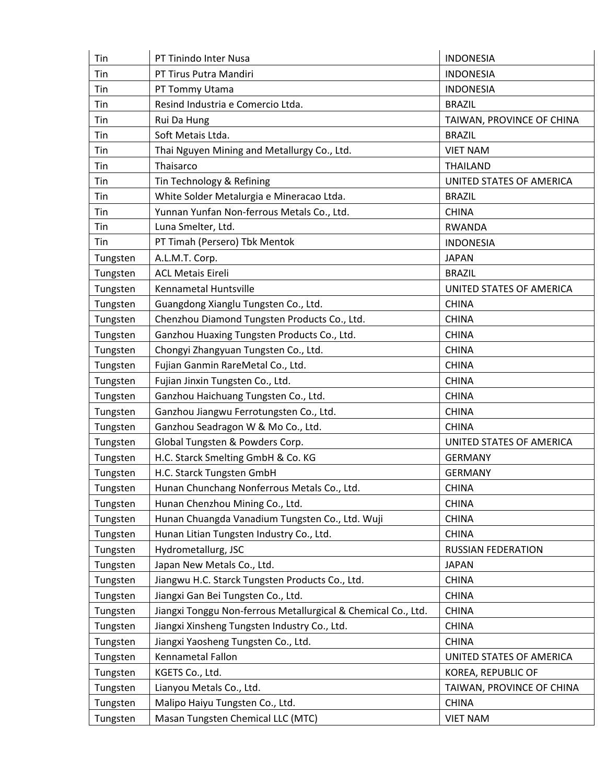| Tin      | PT Tinindo Inter Nusa                                         | <b>INDONESIA</b>          |
|----------|---------------------------------------------------------------|---------------------------|
| Tin      | PT Tirus Putra Mandiri                                        | <b>INDONESIA</b>          |
| Tin      | PT Tommy Utama                                                | <b>INDONESIA</b>          |
| Tin      | Resind Industria e Comercio Ltda.                             | <b>BRAZIL</b>             |
| Tin      | Rui Da Hung                                                   | TAIWAN, PROVINCE OF CHINA |
| Tin      | Soft Metais Ltda.                                             | <b>BRAZIL</b>             |
| Tin      | Thai Nguyen Mining and Metallurgy Co., Ltd.                   | <b>VIET NAM</b>           |
| Tin      | Thaisarco                                                     | <b>THAILAND</b>           |
| Tin      | Tin Technology & Refining                                     | UNITED STATES OF AMERICA  |
| Tin      | White Solder Metalurgia e Mineracao Ltda.                     | <b>BRAZIL</b>             |
| Tin      | Yunnan Yunfan Non-ferrous Metals Co., Ltd.                    | <b>CHINA</b>              |
| Tin      | Luna Smelter, Ltd.                                            | <b>RWANDA</b>             |
| Tin      | PT Timah (Persero) Tbk Mentok                                 | <b>INDONESIA</b>          |
| Tungsten | A.L.M.T. Corp.                                                | <b>JAPAN</b>              |
| Tungsten | <b>ACL Metais Eireli</b>                                      | <b>BRAZIL</b>             |
| Tungsten | Kennametal Huntsville                                         | UNITED STATES OF AMERICA  |
| Tungsten | Guangdong Xianglu Tungsten Co., Ltd.                          | <b>CHINA</b>              |
| Tungsten | Chenzhou Diamond Tungsten Products Co., Ltd.                  | <b>CHINA</b>              |
| Tungsten | Ganzhou Huaxing Tungsten Products Co., Ltd.                   | <b>CHINA</b>              |
| Tungsten | Chongyi Zhangyuan Tungsten Co., Ltd.                          | <b>CHINA</b>              |
| Tungsten | Fujian Ganmin RareMetal Co., Ltd.                             | <b>CHINA</b>              |
| Tungsten | Fujian Jinxin Tungsten Co., Ltd.                              | <b>CHINA</b>              |
| Tungsten | Ganzhou Haichuang Tungsten Co., Ltd.                          | <b>CHINA</b>              |
| Tungsten | Ganzhou Jiangwu Ferrotungsten Co., Ltd.                       | <b>CHINA</b>              |
| Tungsten | Ganzhou Seadragon W & Mo Co., Ltd.                            | <b>CHINA</b>              |
| Tungsten | Global Tungsten & Powders Corp.                               | UNITED STATES OF AMERICA  |
| Tungsten | H.C. Starck Smelting GmbH & Co. KG                            | <b>GERMANY</b>            |
| Tungsten | H.C. Starck Tungsten GmbH                                     | <b>GERMANY</b>            |
| Tungsten | Hunan Chunchang Nonferrous Metals Co., Ltd.                   | <b>CHINA</b>              |
| Tungsten | Hunan Chenzhou Mining Co., Ltd.                               | <b>CHINA</b>              |
| Tungsten | Hunan Chuangda Vanadium Tungsten Co., Ltd. Wuji               | <b>CHINA</b>              |
| Tungsten | Hunan Litian Tungsten Industry Co., Ltd.                      | <b>CHINA</b>              |
| Tungsten | Hydrometallurg, JSC                                           | <b>RUSSIAN FEDERATION</b> |
| Tungsten | Japan New Metals Co., Ltd.                                    | <b>JAPAN</b>              |
| Tungsten | Jiangwu H.C. Starck Tungsten Products Co., Ltd.               | <b>CHINA</b>              |
| Tungsten | Jiangxi Gan Bei Tungsten Co., Ltd.                            | <b>CHINA</b>              |
| Tungsten | Jiangxi Tonggu Non-ferrous Metallurgical & Chemical Co., Ltd. | <b>CHINA</b>              |
| Tungsten | Jiangxi Xinsheng Tungsten Industry Co., Ltd.                  | <b>CHINA</b>              |
| Tungsten | Jiangxi Yaosheng Tungsten Co., Ltd.                           | <b>CHINA</b>              |
| Tungsten | Kennametal Fallon                                             | UNITED STATES OF AMERICA  |
| Tungsten | KGETS Co., Ltd.                                               | KOREA, REPUBLIC OF        |
| Tungsten | Lianyou Metals Co., Ltd.                                      | TAIWAN, PROVINCE OF CHINA |
| Tungsten | Malipo Haiyu Tungsten Co., Ltd.                               | <b>CHINA</b>              |
| Tungsten | Masan Tungsten Chemical LLC (MTC)                             | <b>VIET NAM</b>           |